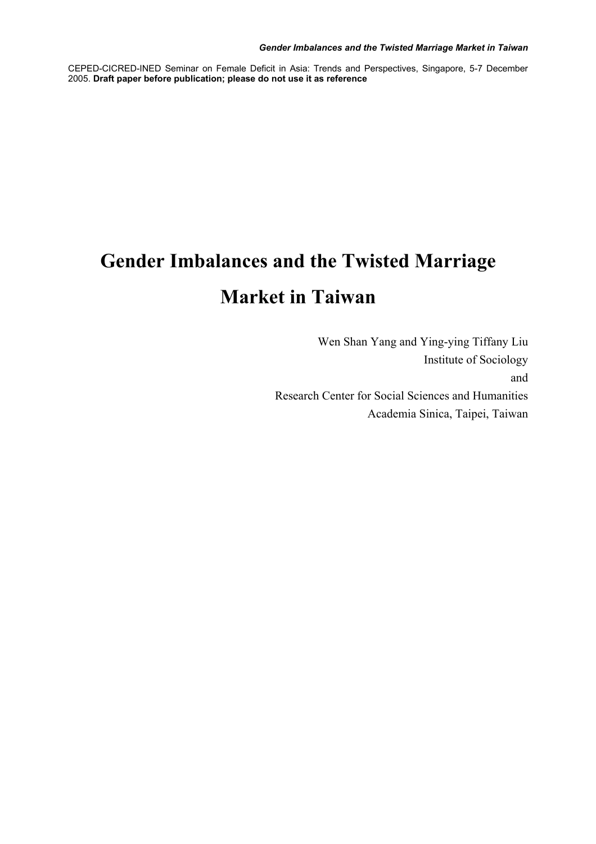CEPED-CICRED-INED Seminar on Female Deficit in Asia: Trends and Perspectives, Singapore, 5-7 December 2005. **Draft paper before publication; please do not use it as reference**

# **Gender Imbalances and the Twisted Marriage Market in Taiwan**

Wen Shan Yang and Ying-ying Tiffany Liu Institute of Sociology and Research Center for Social Sciences and Humanities Academia Sinica, Taipei, Taiwan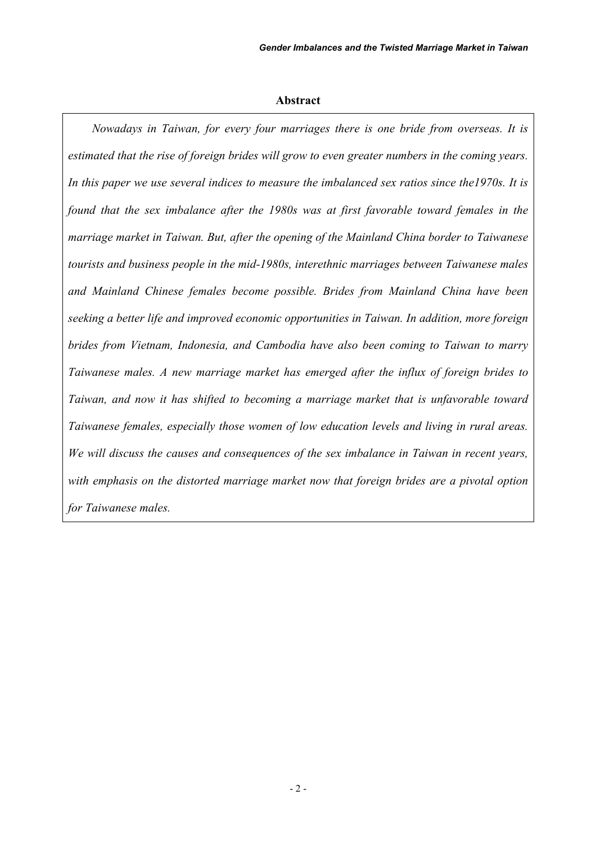#### **Abstract**

 *Nowadays in Taiwan, for every four marriages there is one bride from overseas. It is estimated that the rise of foreign brides will grow to even greater numbers in the coming years. In this paper we use several indices to measure the imbalanced sex ratios since the1970s. It is found that the sex imbalance after the 1980s was at first favorable toward females in the marriage market in Taiwan. But, after the opening of the Mainland China border to Taiwanese tourists and business people in the mid-1980s, interethnic marriages between Taiwanese males and Mainland Chinese females become possible. Brides from Mainland China have been seeking a better life and improved economic opportunities in Taiwan. In addition, more foreign brides from Vietnam, Indonesia, and Cambodia have also been coming to Taiwan to marry Taiwanese males. A new marriage market has emerged after the influx of foreign brides to Taiwan, and now it has shifted to becoming a marriage market that is unfavorable toward Taiwanese females, especially those women of low education levels and living in rural areas. We will discuss the causes and consequences of the sex imbalance in Taiwan in recent years, with emphasis on the distorted marriage market now that foreign brides are a pivotal option for Taiwanese males.*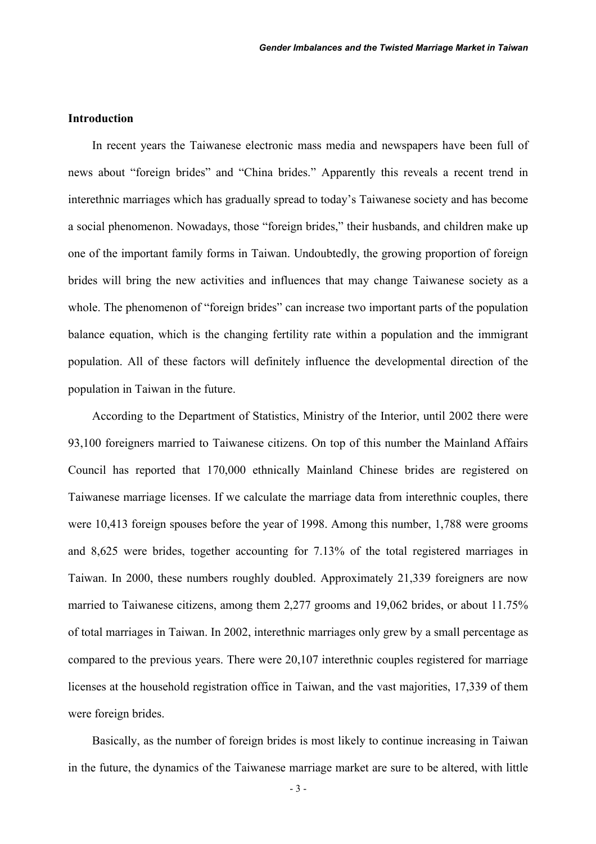## **Introduction**

In recent years the Taiwanese electronic mass media and newspapers have been full of news about "foreign brides" and "China brides." Apparently this reveals a recent trend in interethnic marriages which has gradually spread to today's Taiwanese society and has become a social phenomenon. Nowadays, those "foreign brides," their husbands, and children make up one of the important family forms in Taiwan. Undoubtedly, the growing proportion of foreign brides will bring the new activities and influences that may change Taiwanese society as a whole. The phenomenon of "foreign brides" can increase two important parts of the population balance equation, which is the changing fertility rate within a population and the immigrant population. All of these factors will definitely influence the developmental direction of the population in Taiwan in the future.

According to the Department of Statistics, Ministry of the Interior, until 2002 there were 93,100 foreigners married to Taiwanese citizens. On top of this number the Mainland Affairs Council has reported that 170,000 ethnically Mainland Chinese brides are registered on Taiwanese marriage licenses. If we calculate the marriage data from interethnic couples, there were 10,413 foreign spouses before the year of 1998. Among this number, 1,788 were grooms and 8,625 were brides, together accounting for 7.13% of the total registered marriages in Taiwan. In 2000, these numbers roughly doubled. Approximately 21,339 foreigners are now married to Taiwanese citizens, among them 2,277 grooms and 19,062 brides, or about 11.75% of total marriages in Taiwan. In 2002, interethnic marriages only grew by a small percentage as compared to the previous years. There were 20,107 interethnic couples registered for marriage licenses at the household registration office in Taiwan, and the vast majorities, 17,339 of them were foreign brides.

Basically, as the number of foreign brides is most likely to continue increasing in Taiwan in the future, the dynamics of the Taiwanese marriage market are sure to be altered, with little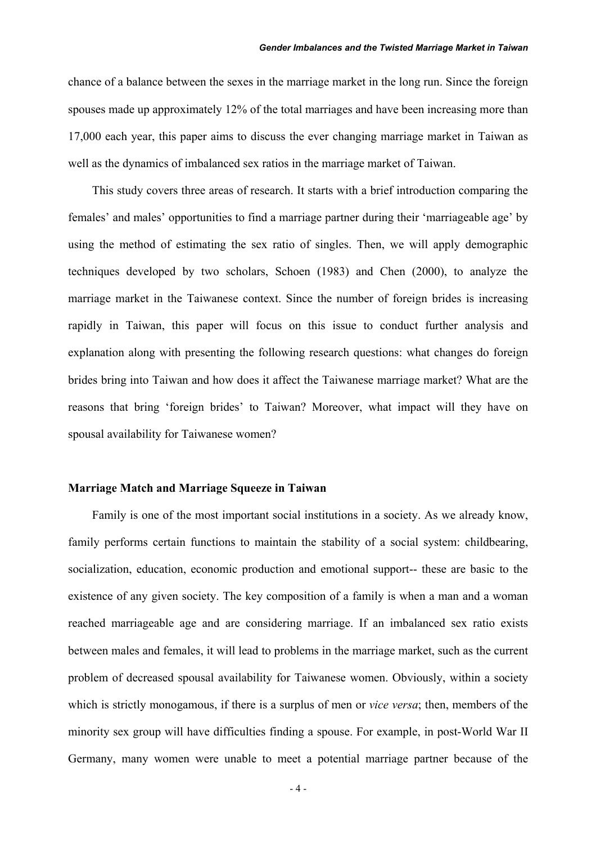chance of a balance between the sexes in the marriage market in the long run. Since the foreign spouses made up approximately 12% of the total marriages and have been increasing more than 17,000 each year, this paper aims to discuss the ever changing marriage market in Taiwan as well as the dynamics of imbalanced sex ratios in the marriage market of Taiwan.

This study covers three areas of research. It starts with a brief introduction comparing the females' and males' opportunities to find a marriage partner during their 'marriageable age' by using the method of estimating the sex ratio of singles. Then, we will apply demographic techniques developed by two scholars, Schoen (1983) and Chen (2000), to analyze the marriage market in the Taiwanese context. Since the number of foreign brides is increasing rapidly in Taiwan, this paper will focus on this issue to conduct further analysis and explanation along with presenting the following research questions: what changes do foreign brides bring into Taiwan and how does it affect the Taiwanese marriage market? What are the reasons that bring 'foreign brides' to Taiwan? Moreover, what impact will they have on spousal availability for Taiwanese women?

#### **Marriage Match and Marriage Squeeze in Taiwan**

 Family is one of the most important social institutions in a society. As we already know, family performs certain functions to maintain the stability of a social system: childbearing, socialization, education, economic production and emotional support-- these are basic to the existence of any given society. The key composition of a family is when a man and a woman reached marriageable age and are considering marriage. If an imbalanced sex ratio exists between males and females, it will lead to problems in the marriage market, such as the current problem of decreased spousal availability for Taiwanese women. Obviously, within a society which is strictly monogamous, if there is a surplus of men or *vice versa*; then, members of the minority sex group will have difficulties finding a spouse. For example, in post-World War II Germany, many women were unable to meet a potential marriage partner because of the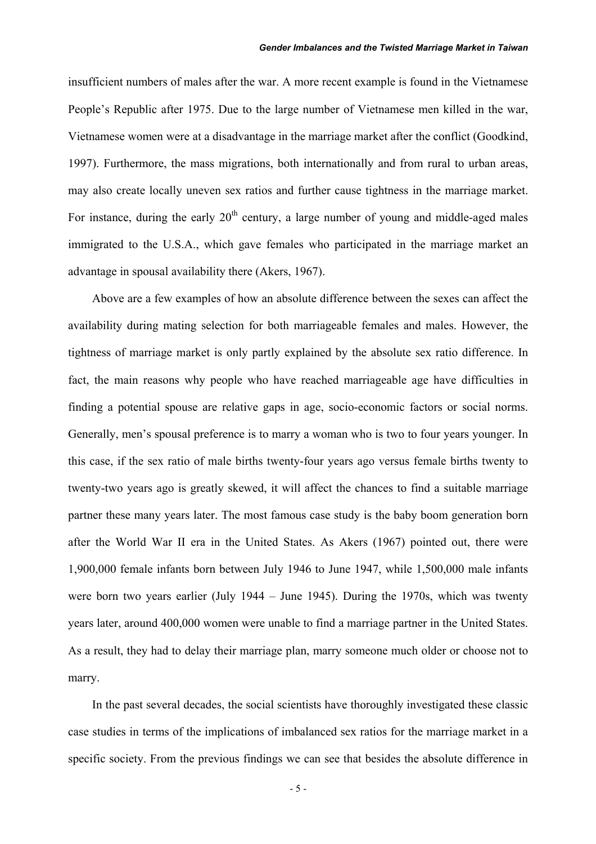insufficient numbers of males after the war. A more recent example is found in the Vietnamese People's Republic after 1975. Due to the large number of Vietnamese men killed in the war, Vietnamese women were at a disadvantage in the marriage market after the conflict (Goodkind, 1997). Furthermore, the mass migrations, both internationally and from rural to urban areas, may also create locally uneven sex ratios and further cause tightness in the marriage market. For instance, during the early  $20<sup>th</sup>$  century, a large number of young and middle-aged males immigrated to the U.S.A., which gave females who participated in the marriage market an advantage in spousal availability there (Akers, 1967).

 Above are a few examples of how an absolute difference between the sexes can affect the availability during mating selection for both marriageable females and males. However, the tightness of marriage market is only partly explained by the absolute sex ratio difference. In fact, the main reasons why people who have reached marriageable age have difficulties in finding a potential spouse are relative gaps in age, socio-economic factors or social norms. Generally, men's spousal preference is to marry a woman who is two to four years younger. In this case, if the sex ratio of male births twenty-four years ago versus female births twenty to twenty-two years ago is greatly skewed, it will affect the chances to find a suitable marriage partner these many years later. The most famous case study is the baby boom generation born after the World War II era in the United States. As Akers (1967) pointed out, there were 1,900,000 female infants born between July 1946 to June 1947, while 1,500,000 male infants were born two years earlier (July 1944 – June 1945). During the 1970s, which was twenty years later, around 400,000 women were unable to find a marriage partner in the United States. As a result, they had to delay their marriage plan, marry someone much older or choose not to marry.

 In the past several decades, the social scientists have thoroughly investigated these classic case studies in terms of the implications of imbalanced sex ratios for the marriage market in a specific society. From the previous findings we can see that besides the absolute difference in

- 5 -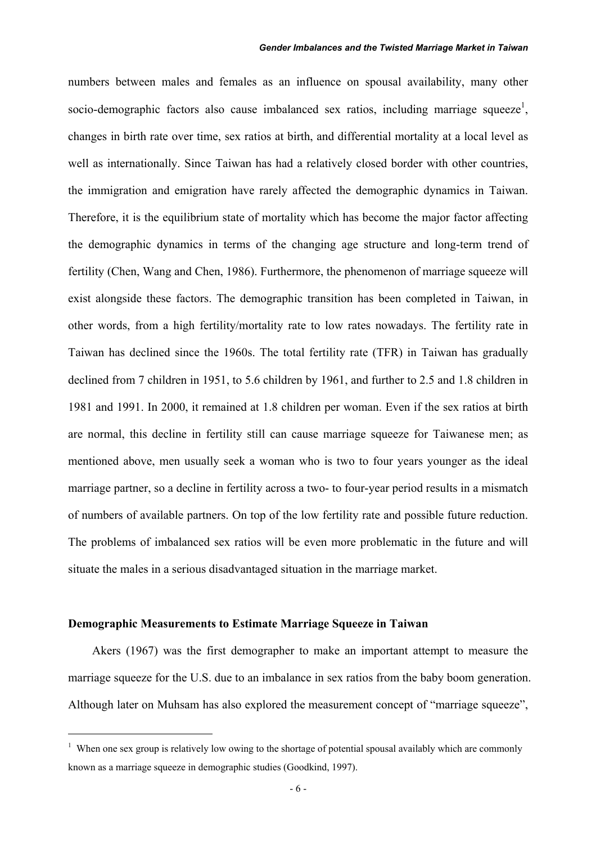numbers between males and females as an influence on spousal availability, many other socio-demographic factors also cause imbalanced sex ratios, including marriage squeeze<sup>1</sup>, changes in birth rate over time, sex ratios at birth, and differential mortality at a local level as well as internationally. Since Taiwan has had a relatively closed border with other countries, the immigration and emigration have rarely affected the demographic dynamics in Taiwan. Therefore, it is the equilibrium state of mortality which has become the major factor affecting the demographic dynamics in terms of the changing age structure and long-term trend of fertility (Chen, Wang and Chen, 1986). Furthermore, the phenomenon of marriage squeeze will exist alongside these factors. The demographic transition has been completed in Taiwan, in other words, from a high fertility/mortality rate to low rates nowadays. The fertility rate in Taiwan has declined since the 1960s. The total fertility rate (TFR) in Taiwan has gradually declined from 7 children in 1951, to 5.6 children by 1961, and further to 2.5 and 1.8 children in 1981 and 1991. In 2000, it remained at 1.8 children per woman. Even if the sex ratios at birth are normal, this decline in fertility still can cause marriage squeeze for Taiwanese men; as mentioned above, men usually seek a woman who is two to four years younger as the ideal marriage partner, so a decline in fertility across a two- to four-year period results in a mismatch of numbers of available partners. On top of the low fertility rate and possible future reduction. The problems of imbalanced sex ratios will be even more problematic in the future and will situate the males in a serious disadvantaged situation in the marriage market.

### **Demographic Measurements to Estimate Marriage Squeeze in Taiwan**

 $\overline{a}$ 

 Akers (1967) was the first demographer to make an important attempt to measure the marriage squeeze for the U.S. due to an imbalance in sex ratios from the baby boom generation. Although later on Muhsam has also explored the measurement concept of "marriage squeeze",

<sup>&</sup>lt;sup>1</sup> When one sex group is relatively low owing to the shortage of potential spousal availably which are commonly known as a marriage squeeze in demographic studies (Goodkind, 1997).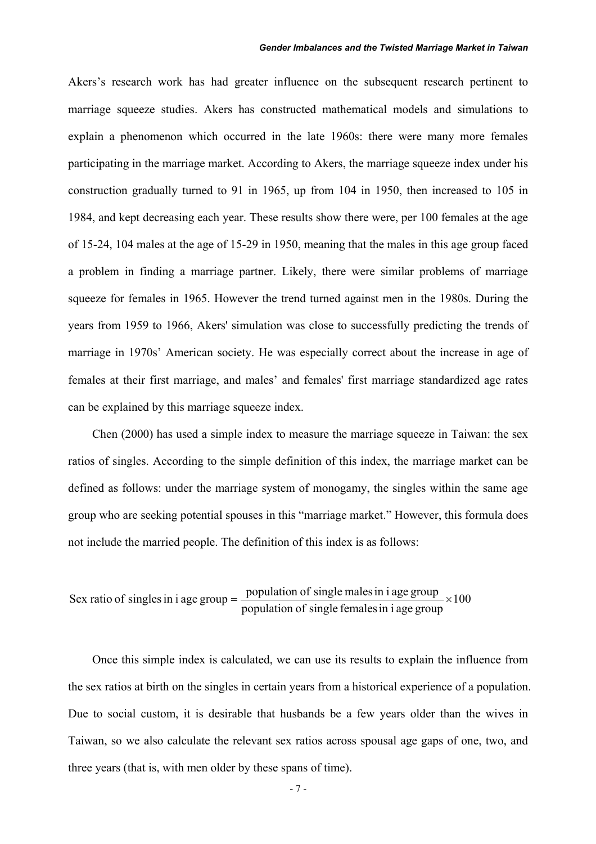#### *Gender Imbalances and the Twisted Marriage Market in Taiwan*

Akers's research work has had greater influence on the subsequent research pertinent to marriage squeeze studies. Akers has constructed mathematical models and simulations to explain a phenomenon which occurred in the late 1960s: there were many more females participating in the marriage market. According to Akers, the marriage squeeze index under his construction gradually turned to 91 in 1965, up from 104 in 1950, then increased to 105 in 1984, and kept decreasing each year. These results show there were, per 100 females at the age of 15-24, 104 males at the age of 15-29 in 1950, meaning that the males in this age group faced a problem in finding a marriage partner. Likely, there were similar problems of marriage squeeze for females in 1965. However the trend turned against men in the 1980s. During the years from 1959 to 1966, Akers' simulation was close to successfully predicting the trends of marriage in 1970s' American society. He was especially correct about the increase in age of females at their first marriage, and males' and females' first marriage standardized age rates can be explained by this marriage squeeze index.

Chen (2000) has used a simple index to measure the marriage squeeze in Taiwan: the sex ratios of singles. According to the simple definition of this index, the marriage market can be defined as follows: under the marriage system of monogamy, the singles within the same age group who are seeking potential spouses in this "marriage market." However, this formula does not include the married people. The definition of this index is as follows:

Sex ratio of singles in i age group = 
$$
\frac{\text{population of single males in i age group}}{\text{population of single females in i age group}} \times 100
$$

Once this simple index is calculated, we can use its results to explain the influence from the sex ratios at birth on the singles in certain years from a historical experience of a population. Due to social custom, it is desirable that husbands be a few years older than the wives in Taiwan, so we also calculate the relevant sex ratios across spousal age gaps of one, two, and three years (that is, with men older by these spans of time).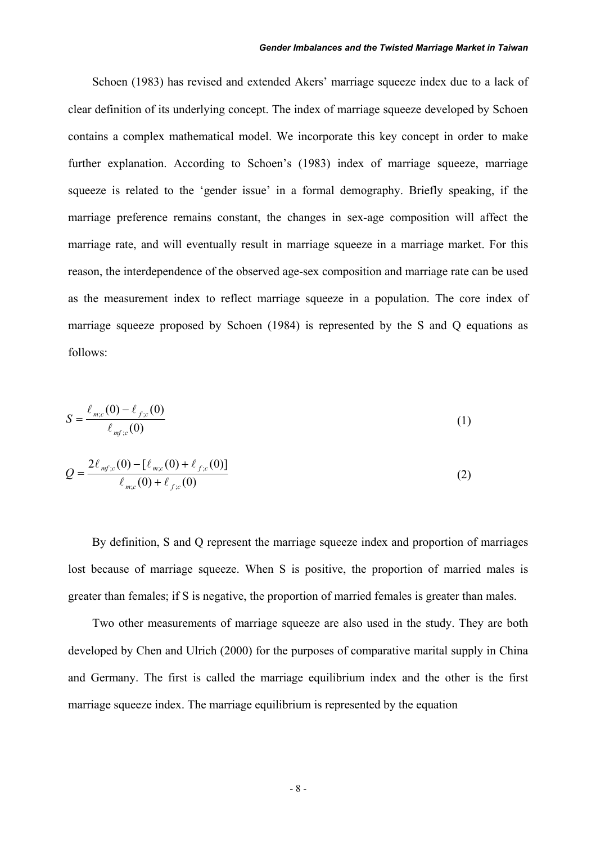#### *Gender Imbalances and the Twisted Marriage Market in Taiwan*

Schoen (1983) has revised and extended Akers' marriage squeeze index due to a lack of clear definition of its underlying concept. The index of marriage squeeze developed by Schoen contains a complex mathematical model. We incorporate this key concept in order to make further explanation. According to Schoen's (1983) index of marriage squeeze, marriage squeeze is related to the 'gender issue' in a formal demography. Briefly speaking, if the marriage preference remains constant, the changes in sex-age composition will affect the marriage rate, and will eventually result in marriage squeeze in a marriage market. For this reason, the interdependence of the observed age-sex composition and marriage rate can be used as the measurement index to reflect marriage squeeze in a population. The core index of marriage squeeze proposed by Schoen (1984) is represented by the S and Q equations as follows:

$$
S = \frac{\ell_{m;c}(0) - \ell_{f;c}(0)}{\ell_{mfs}(0)}
$$
(1)

$$
Q = \frac{2\ell_{mfc}(0) - [\ell_{m;c}(0) + \ell_{fc}(0)]}{\ell_{m;c}(0) + \ell_{fc}(0)}
$$
\n(2)

By definition, S and Q represent the marriage squeeze index and proportion of marriages lost because of marriage squeeze. When S is positive, the proportion of married males is greater than females; if S is negative, the proportion of married females is greater than males.

Two other measurements of marriage squeeze are also used in the study. They are both developed by Chen and Ulrich (2000) for the purposes of comparative marital supply in China and Germany. The first is called the marriage equilibrium index and the other is the first marriage squeeze index. The marriage equilibrium is represented by the equation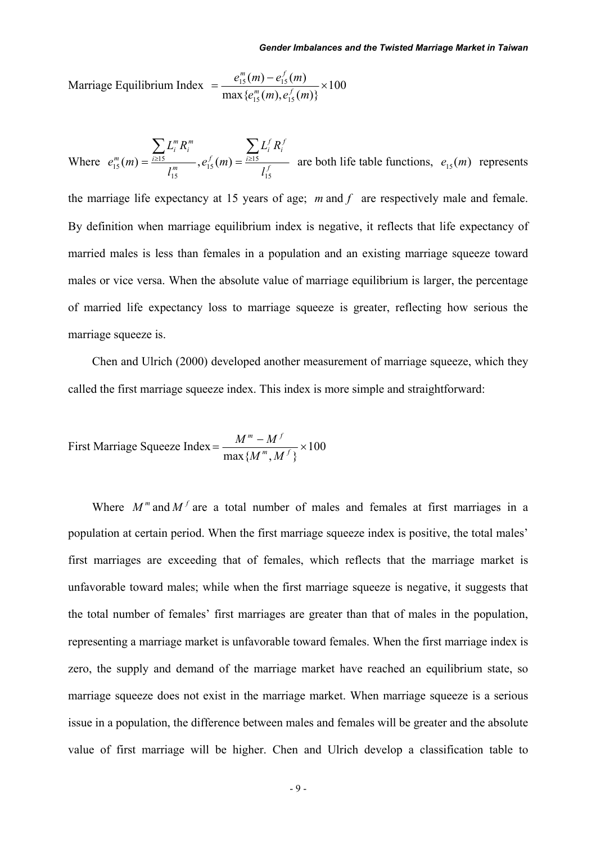Marriage Equilibrium Index  $=\frac{c_{15}(m)-c_{15}(m)}{m} \times 100$  $\max\{e_{15}^m(m), e_{15}^f(m)\}\$  $(m) - e_{15}^f(m)$  $=$   $\frac{e_{15}^m(m) - e_{15}^f(m)}{\max\{e_{15}^m(m), e_{15}^f(m)\}} \times$  $m$  *f*  $m$   $\partial$  $m$  *f*  $m$   $\theta$ 

Where  $e_{15}^m(m) = \frac{i \ge 15}{1^m}$ ,  $e_{15}^f(m) = \frac{i \ge 15}{1^f}$ *f i f i f m i m i m i m l*  $L_i^f R$  $e_1^f$  (m *l*  $L_i^m R$  $e_{15}^m(m)$ 15  $\binom{f}{15}(m) = \frac{i \geq 15}{5}$ 15  $\sum_{15}^{m} L_i^m R_i^m$ <br>  $\sum_{15} L_i^m R_i^m$ ,  $e_{15}^f(m) = \frac{\sum_{i \ge 15} L_i^f R_i^f}{\sum_{i \neq j} f(i)}$  are both life table functions,  $e_{15}(m)$  represents

the marriage life expectancy at 15 years of age; *m* and *f* are respectively male and female. By definition when marriage equilibrium index is negative, it reflects that life expectancy of married males is less than females in a population and an existing marriage squeeze toward males or vice versa. When the absolute value of marriage equilibrium is larger, the percentage of married life expectancy loss to marriage squeeze is greater, reflecting how serious the marriage squeeze is.

 Chen and Ulrich (2000) developed another measurement of marriage squeeze, which they called the first marriage squeeze index. This index is more simple and straightforward:

First Marine Squeeze Index = 
$$
\frac{M^m - M^f}{\max\{M^m, M^f\}} \times 100
$$

Where  $M^m$  and  $M^f$  are a total number of males and females at first marriages in a population at certain period. When the first marriage squeeze index is positive, the total males' first marriages are exceeding that of females, which reflects that the marriage market is unfavorable toward males; while when the first marriage squeeze is negative, it suggests that the total number of females' first marriages are greater than that of males in the population, representing a marriage market is unfavorable toward females. When the first marriage index is zero, the supply and demand of the marriage market have reached an equilibrium state, so marriage squeeze does not exist in the marriage market. When marriage squeeze is a serious issue in a population, the difference between males and females will be greater and the absolute value of first marriage will be higher. Chen and Ulrich develop a classification table to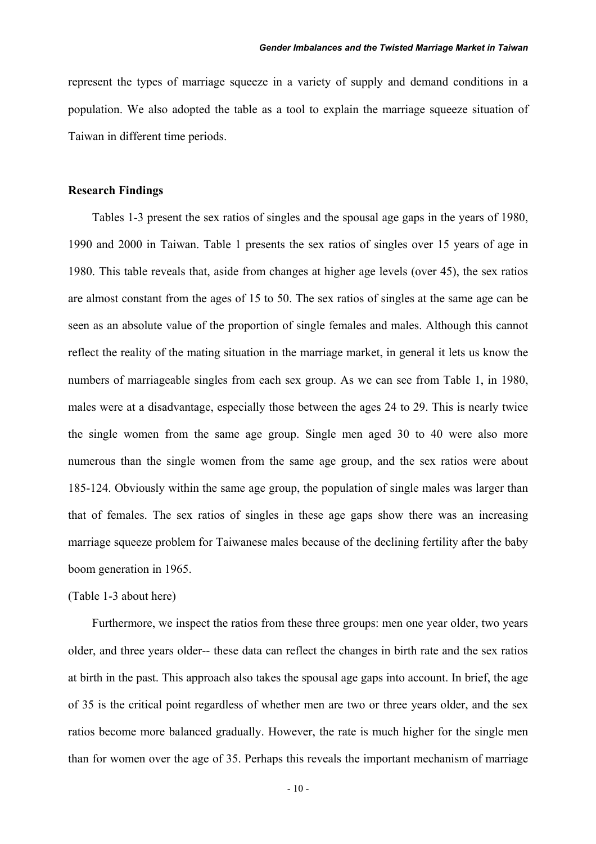represent the types of marriage squeeze in a variety of supply and demand conditions in a population. We also adopted the table as a tool to explain the marriage squeeze situation of Taiwan in different time periods.

#### **Research Findings**

 Tables 1-3 present the sex ratios of singles and the spousal age gaps in the years of 1980, 1990 and 2000 in Taiwan. Table 1 presents the sex ratios of singles over 15 years of age in 1980. This table reveals that, aside from changes at higher age levels (over 45), the sex ratios are almost constant from the ages of 15 to 50. The sex ratios of singles at the same age can be seen as an absolute value of the proportion of single females and males. Although this cannot reflect the reality of the mating situation in the marriage market, in general it lets us know the numbers of marriageable singles from each sex group. As we can see from Table 1, in 1980, males were at a disadvantage, especially those between the ages 24 to 29. This is nearly twice the single women from the same age group. Single men aged 30 to 40 were also more numerous than the single women from the same age group, and the sex ratios were about 185-124. Obviously within the same age group, the population of single males was larger than that of females. The sex ratios of singles in these age gaps show there was an increasing marriage squeeze problem for Taiwanese males because of the declining fertility after the baby boom generation in 1965.

#### (Table 1-3 about here)

Furthermore, we inspect the ratios from these three groups: men one year older, two years older, and three years older-- these data can reflect the changes in birth rate and the sex ratios at birth in the past. This approach also takes the spousal age gaps into account. In brief, the age of 35 is the critical point regardless of whether men are two or three years older, and the sex ratios become more balanced gradually. However, the rate is much higher for the single men than for women over the age of 35. Perhaps this reveals the important mechanism of marriage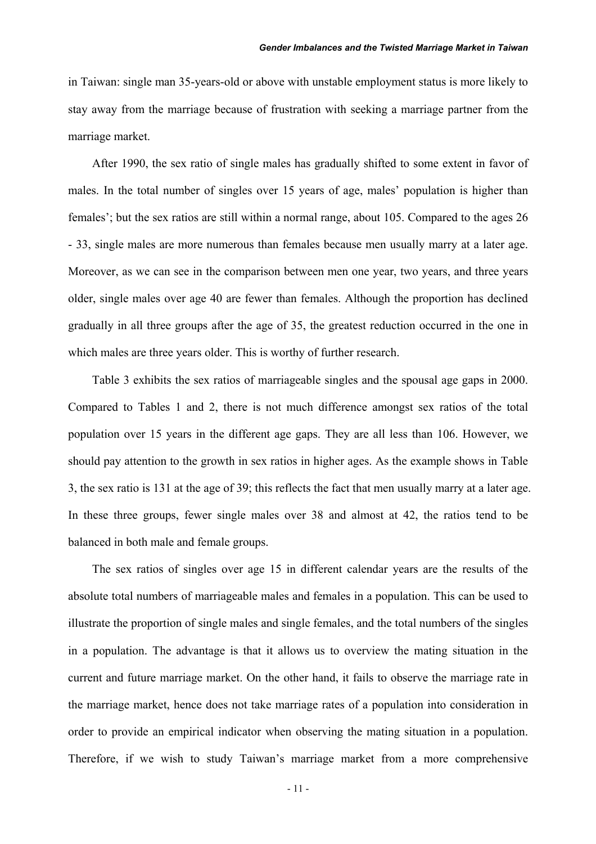in Taiwan: single man 35-years-old or above with unstable employment status is more likely to stay away from the marriage because of frustration with seeking a marriage partner from the marriage market.

 After 1990, the sex ratio of single males has gradually shifted to some extent in favor of males. In the total number of singles over 15 years of age, males' population is higher than females'; but the sex ratios are still within a normal range, about 105. Compared to the ages 26 - 33, single males are more numerous than females because men usually marry at a later age. Moreover, as we can see in the comparison between men one year, two years, and three years older, single males over age 40 are fewer than females. Although the proportion has declined gradually in all three groups after the age of 35, the greatest reduction occurred in the one in which males are three years older. This is worthy of further research.

 Table 3 exhibits the sex ratios of marriageable singles and the spousal age gaps in 2000. Compared to Tables 1 and 2, there is not much difference amongst sex ratios of the total population over 15 years in the different age gaps. They are all less than 106. However, we should pay attention to the growth in sex ratios in higher ages. As the example shows in Table 3, the sex ratio is 131 at the age of 39; this reflects the fact that men usually marry at a later age. In these three groups, fewer single males over 38 and almost at 42, the ratios tend to be balanced in both male and female groups.

The sex ratios of singles over age 15 in different calendar years are the results of the absolute total numbers of marriageable males and females in a population. This can be used to illustrate the proportion of single males and single females, and the total numbers of the singles in a population. The advantage is that it allows us to overview the mating situation in the current and future marriage market. On the other hand, it fails to observe the marriage rate in the marriage market, hence does not take marriage rates of a population into consideration in order to provide an empirical indicator when observing the mating situation in a population. Therefore, if we wish to study Taiwan's marriage market from a more comprehensive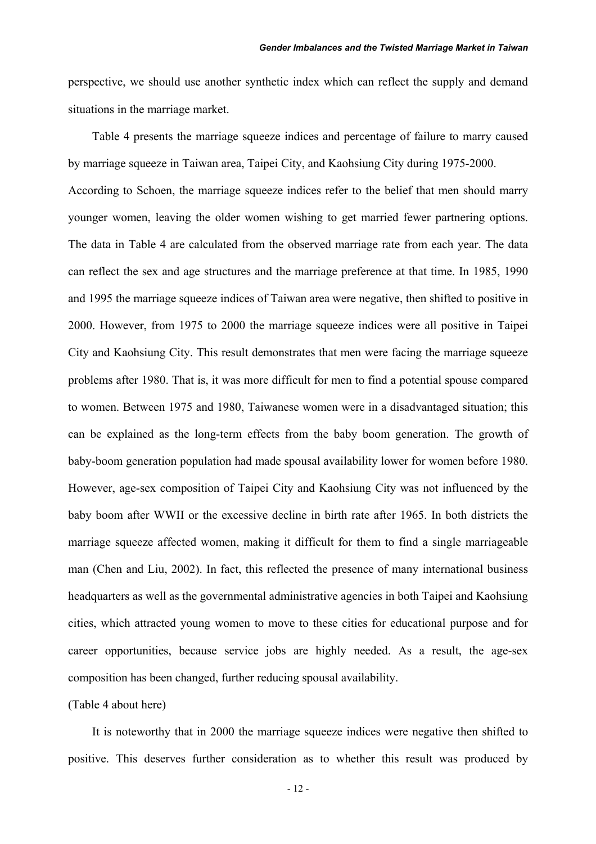perspective, we should use another synthetic index which can reflect the supply and demand situations in the marriage market.

Table 4 presents the marriage squeeze indices and percentage of failure to marry caused by marriage squeeze in Taiwan area, Taipei City, and Kaohsiung City during 1975-2000. According to Schoen, the marriage squeeze indices refer to the belief that men should marry younger women, leaving the older women wishing to get married fewer partnering options. The data in Table 4 are calculated from the observed marriage rate from each year. The data can reflect the sex and age structures and the marriage preference at that time. In 1985, 1990 and 1995 the marriage squeeze indices of Taiwan area were negative, then shifted to positive in 2000. However, from 1975 to 2000 the marriage squeeze indices were all positive in Taipei City and Kaohsiung City. This result demonstrates that men were facing the marriage squeeze problems after 1980. That is, it was more difficult for men to find a potential spouse compared to women. Between 1975 and 1980, Taiwanese women were in a disadvantaged situation; this can be explained as the long-term effects from the baby boom generation. The growth of baby-boom generation population had made spousal availability lower for women before 1980. However, age-sex composition of Taipei City and Kaohsiung City was not influenced by the baby boom after WWII or the excessive decline in birth rate after 1965. In both districts the marriage squeeze affected women, making it difficult for them to find a single marriageable man (Chen and Liu, 2002). In fact, this reflected the presence of many international business headquarters as well as the governmental administrative agencies in both Taipei and Kaohsiung cities, which attracted young women to move to these cities for educational purpose and for career opportunities, because service jobs are highly needed. As a result, the age-sex composition has been changed, further reducing spousal availability.

#### (Table 4 about here)

 It is noteworthy that in 2000 the marriage squeeze indices were negative then shifted to positive. This deserves further consideration as to whether this result was produced by

- 12 -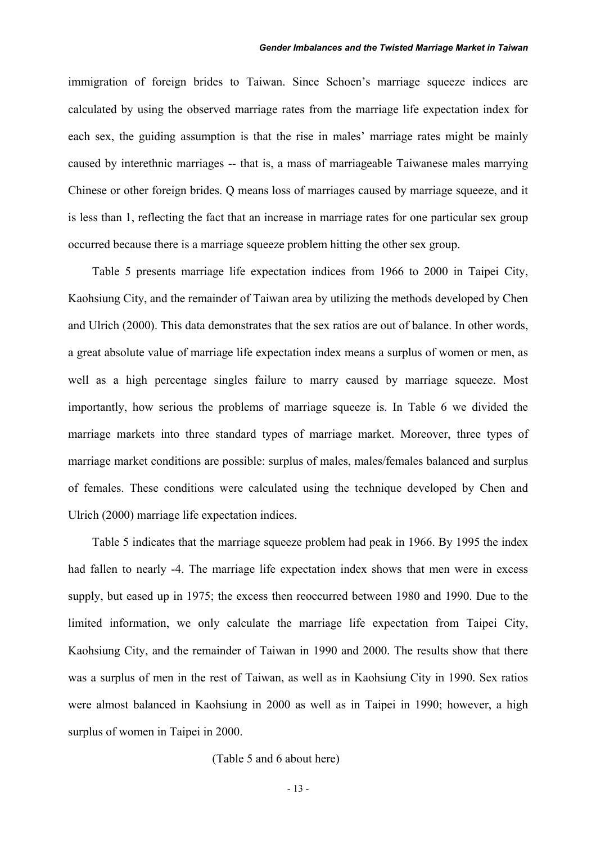immigration of foreign brides to Taiwan. Since Schoen's marriage squeeze indices are calculated by using the observed marriage rates from the marriage life expectation index for each sex, the guiding assumption is that the rise in males' marriage rates might be mainly caused by interethnic marriages -- that is, a mass of marriageable Taiwanese males marrying Chinese or other foreign brides. Q means loss of marriages caused by marriage squeeze, and it is less than 1, reflecting the fact that an increase in marriage rates for one particular sex group occurred because there is a marriage squeeze problem hitting the other sex group.

Table 5 presents marriage life expectation indices from 1966 to 2000 in Taipei City, Kaohsiung City, and the remainder of Taiwan area by utilizing the methods developed by Chen and Ulrich (2000). This data demonstrates that the sex ratios are out of balance. In other words, a great absolute value of marriage life expectation index means a surplus of women or men, as well as a high percentage singles failure to marry caused by marriage squeeze. Most importantly, how serious the problems of marriage squeeze is. In Table 6 we divided the marriage markets into three standard types of marriage market. Moreover, three types of marriage market conditions are possible: surplus of males, males/females balanced and surplus of females. These conditions were calculated using the technique developed by Chen and Ulrich (2000) marriage life expectation indices.

Table 5 indicates that the marriage squeeze problem had peak in 1966. By 1995 the index had fallen to nearly -4. The marriage life expectation index shows that men were in excess supply, but eased up in 1975; the excess then reoccurred between 1980 and 1990. Due to the limited information, we only calculate the marriage life expectation from Taipei City, Kaohsiung City, and the remainder of Taiwan in 1990 and 2000. The results show that there was a surplus of men in the rest of Taiwan, as well as in Kaohsiung City in 1990. Sex ratios were almost balanced in Kaohsiung in 2000 as well as in Taipei in 1990; however, a high surplus of women in Taipei in 2000.

(Table 5 and 6 about here)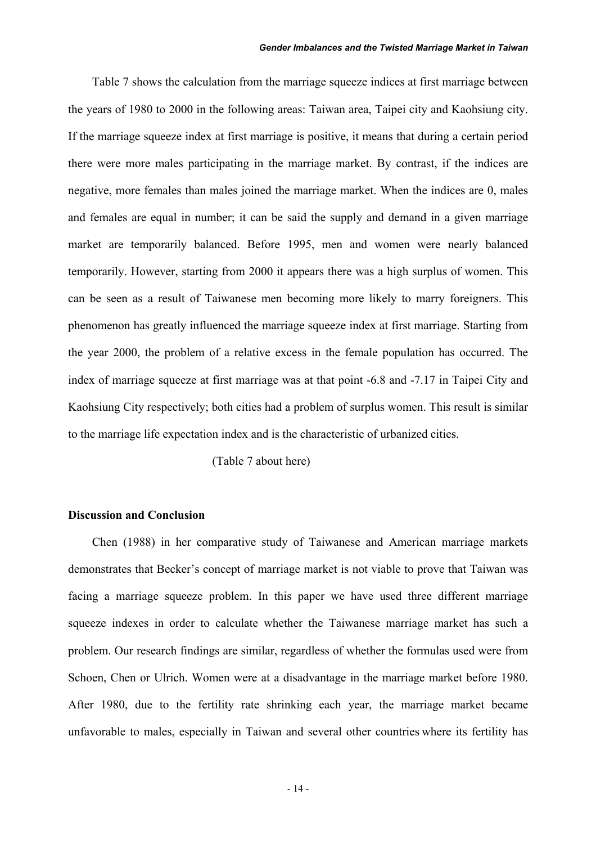#### *Gender Imbalances and the Twisted Marriage Market in Taiwan*

Table 7 shows the calculation from the marriage squeeze indices at first marriage between the years of 1980 to 2000 in the following areas: Taiwan area, Taipei city and Kaohsiung city. If the marriage squeeze index at first marriage is positive, it means that during a certain period there were more males participating in the marriage market. By contrast, if the indices are negative, more females than males joined the marriage market. When the indices are 0, males and females are equal in number; it can be said the supply and demand in a given marriage market are temporarily balanced. Before 1995, men and women were nearly balanced temporarily. However, starting from 2000 it appears there was a high surplus of women. This can be seen as a result of Taiwanese men becoming more likely to marry foreigners. This phenomenon has greatly influenced the marriage squeeze index at first marriage. Starting from the year 2000, the problem of a relative excess in the female population has occurred. The index of marriage squeeze at first marriage was at that point -6.8 and -7.17 in Taipei City and Kaohsiung City respectively; both cities had a problem of surplus women. This result is similar to the marriage life expectation index and is the characteristic of urbanized cities.

(Table 7 about here)

#### **Discussion and Conclusion**

Chen (1988) in her comparative study of Taiwanese and American marriage markets demonstrates that Becker's concept of marriage market is not viable to prove that Taiwan was facing a marriage squeeze problem. In this paper we have used three different marriage squeeze indexes in order to calculate whether the Taiwanese marriage market has such a problem. Our research findings are similar, regardless of whether the formulas used were from Schoen, Chen or Ulrich. Women were at a disadvantage in the marriage market before 1980. After 1980, due to the fertility rate shrinking each year, the marriage market became unfavorable to males, especially in Taiwan and several other countries where its fertility has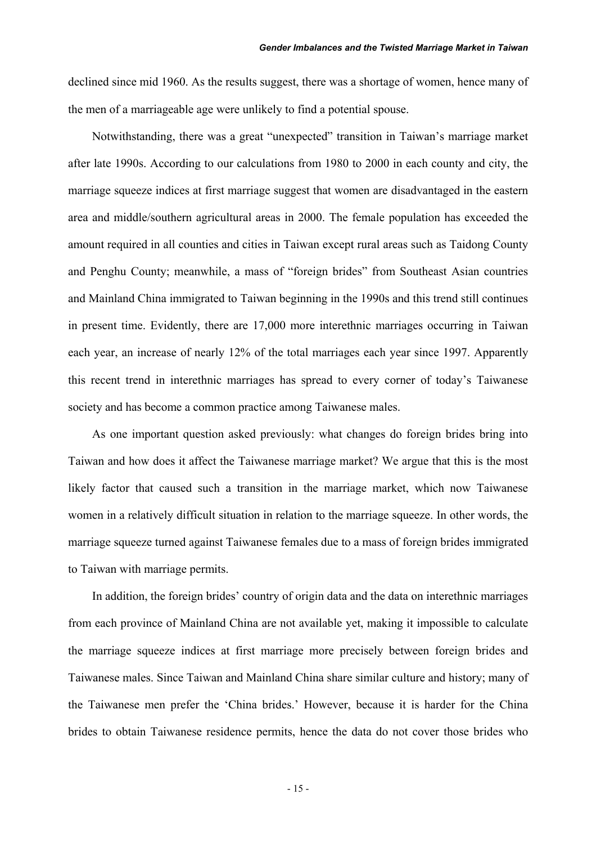declined since mid 1960. As the results suggest, there was a shortage of women, hence many of the men of a marriageable age were unlikely to find a potential spouse.

Notwithstanding, there was a great "unexpected" transition in Taiwan's marriage market after late 1990s. According to our calculations from 1980 to 2000 in each county and city, the marriage squeeze indices at first marriage suggest that women are disadvantaged in the eastern area and middle/southern agricultural areas in 2000. The female population has exceeded the amount required in all counties and cities in Taiwan except rural areas such as Taidong County and Penghu County; meanwhile, a mass of "foreign brides" from Southeast Asian countries and Mainland China immigrated to Taiwan beginning in the 1990s and this trend still continues in present time. Evidently, there are 17,000 more interethnic marriages occurring in Taiwan each year, an increase of nearly 12% of the total marriages each year since 1997. Apparently this recent trend in interethnic marriages has spread to every corner of today's Taiwanese society and has become a common practice among Taiwanese males.

As one important question asked previously: what changes do foreign brides bring into Taiwan and how does it affect the Taiwanese marriage market? We argue that this is the most likely factor that caused such a transition in the marriage market, which now Taiwanese women in a relatively difficult situation in relation to the marriage squeeze. In other words, the marriage squeeze turned against Taiwanese females due to a mass of foreign brides immigrated to Taiwan with marriage permits.

In addition, the foreign brides' country of origin data and the data on interethnic marriages from each province of Mainland China are not available yet, making it impossible to calculate the marriage squeeze indices at first marriage more precisely between foreign brides and Taiwanese males. Since Taiwan and Mainland China share similar culture and history; many of the Taiwanese men prefer the 'China brides.' However, because it is harder for the China brides to obtain Taiwanese residence permits, hence the data do not cover those brides who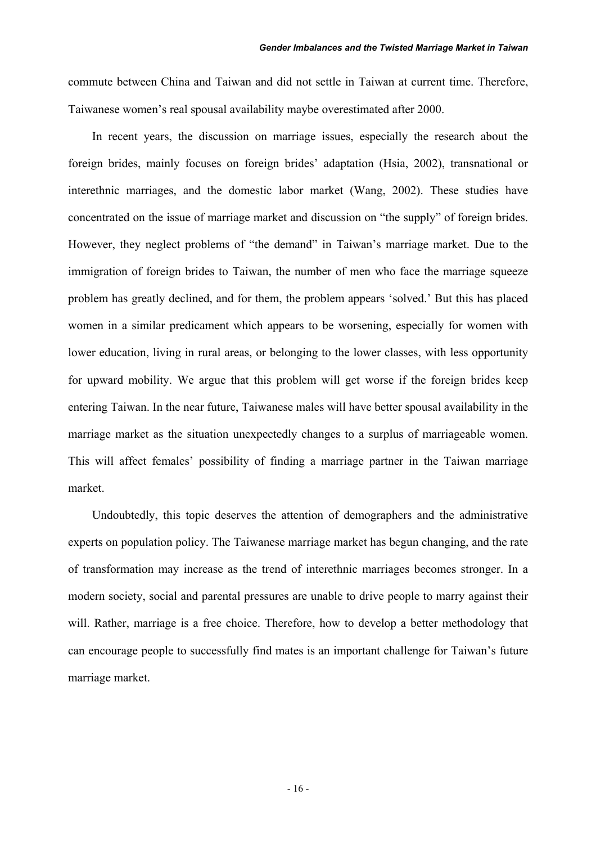commute between China and Taiwan and did not settle in Taiwan at current time. Therefore, Taiwanese women's real spousal availability maybe overestimated after 2000.

In recent years, the discussion on marriage issues, especially the research about the foreign brides, mainly focuses on foreign brides' adaptation (Hsia, 2002), transnational or interethnic marriages, and the domestic labor market (Wang, 2002). These studies have concentrated on the issue of marriage market and discussion on "the supply" of foreign brides. However, they neglect problems of "the demand" in Taiwan's marriage market. Due to the immigration of foreign brides to Taiwan, the number of men who face the marriage squeeze problem has greatly declined, and for them, the problem appears 'solved.' But this has placed women in a similar predicament which appears to be worsening, especially for women with lower education, living in rural areas, or belonging to the lower classes, with less opportunity for upward mobility. We argue that this problem will get worse if the foreign brides keep entering Taiwan. In the near future, Taiwanese males will have better spousal availability in the marriage market as the situation unexpectedly changes to a surplus of marriageable women. This will affect females' possibility of finding a marriage partner in the Taiwan marriage market.

Undoubtedly, this topic deserves the attention of demographers and the administrative experts on population policy. The Taiwanese marriage market has begun changing, and the rate of transformation may increase as the trend of interethnic marriages becomes stronger. In a modern society, social and parental pressures are unable to drive people to marry against their will. Rather, marriage is a free choice. Therefore, how to develop a better methodology that can encourage people to successfully find mates is an important challenge for Taiwan's future marriage market.

- 16 -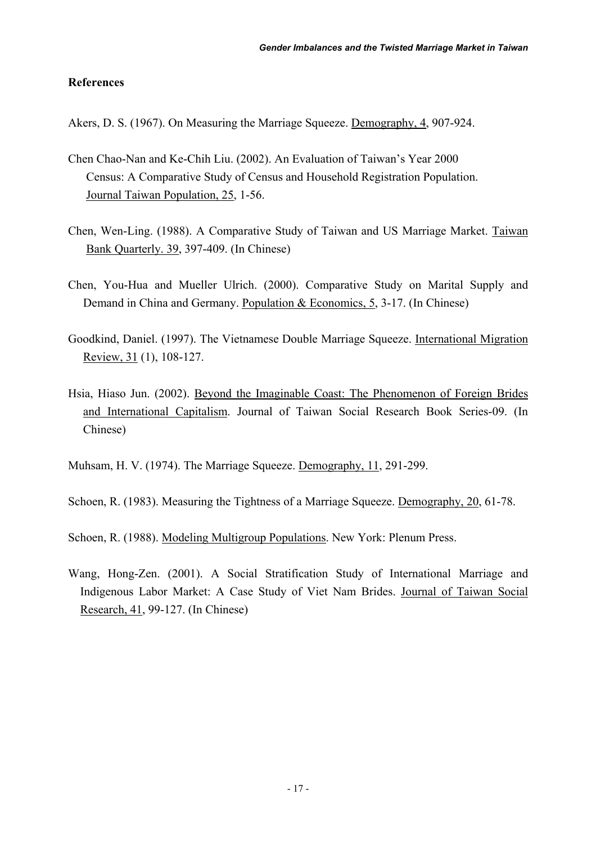## **References**

Akers, D. S. (1967). On Measuring the Marriage Squeeze. Demography, 4, 907-924.

- Chen Chao-Nan and Ke-Chih Liu. (2002). An Evaluation of Taiwan's Year 2000 Census: A Comparative Study of Census and Household Registration Population. Journal Taiwan Population, 25, 1-56.
- Chen, Wen-Ling. (1988). A Comparative Study of Taiwan and US Marriage Market. Taiwan Bank Quarterly. 39, 397-409. (In Chinese)
- Chen, You-Hua and Mueller Ulrich. (2000). Comparative Study on Marital Supply and Demand in China and Germany. Population & Economics, 5, 3-17. (In Chinese)
- Goodkind, Daniel. (1997). The Vietnamese Double Marriage Squeeze. International Migration Review, 31 (1), 108-127.
- Hsia, Hiaso Jun. (2002). Beyond the Imaginable Coast: The Phenomenon of Foreign Brides and International Capitalism. Journal of Taiwan Social Research Book Series-09. (In Chinese)

Muhsam, H. V. (1974). The Marriage Squeeze. Demography, 11, 291-299.

Schoen, R. (1983). Measuring the Tightness of a Marriage Squeeze. Demography, 20, 61-78.

Schoen, R. (1988). Modeling Multigroup Populations. New York: Plenum Press.

Wang, Hong-Zen. (2001). A Social Stratification Study of International Marriage and Indigenous Labor Market: A Case Study of Viet Nam Brides. Journal of Taiwan Social Research, 41, 99-127. (In Chinese)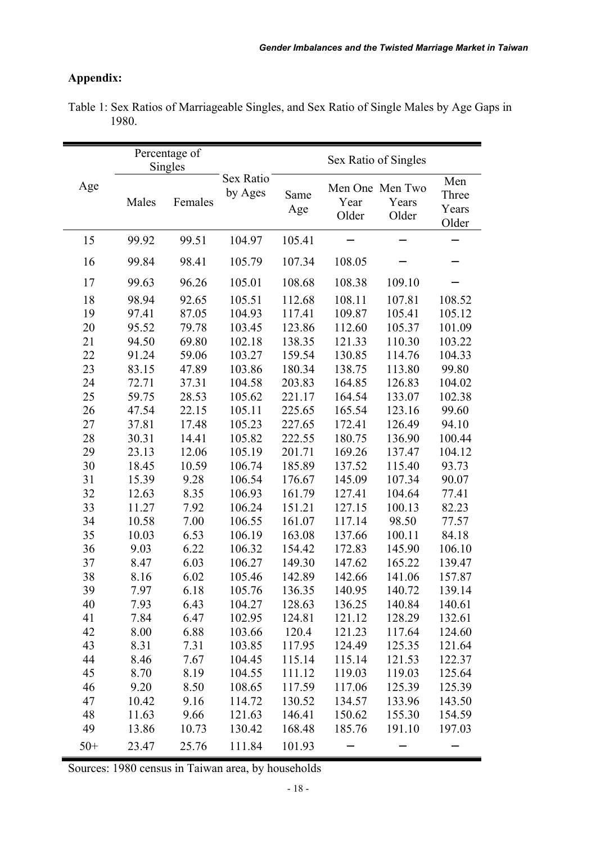## **Appendix:**

|       |       | Percentage of |                      |             | Sex Ratio of Singles |                                   |                                |
|-------|-------|---------------|----------------------|-------------|----------------------|-----------------------------------|--------------------------------|
|       |       | Singles       |                      |             |                      |                                   |                                |
| Age   | Males | Females       | Sex Ratio<br>by Ages | Same<br>Age | Year<br>Older        | Men One Men Two<br>Years<br>Older | Men<br>Three<br>Years<br>Older |
| 15    | 99.92 | 99.51         | 104.97               | 105.41      |                      |                                   |                                |
| 16    | 99.84 | 98.41         | 105.79               | 107.34      | 108.05               |                                   |                                |
| 17    | 99.63 | 96.26         | 105.01               | 108.68      | 108.38               | 109.10                            |                                |
| 18    | 98.94 | 92.65         | 105.51               | 112.68      | 108.11               | 107.81                            | 108.52                         |
| 19    | 97.41 | 87.05         | 104.93               | 117.41      | 109.87               | 105.41                            | 105.12                         |
| 20    | 95.52 | 79.78         | 103.45               | 123.86      | 112.60               | 105.37                            | 101.09                         |
| 21    | 94.50 | 69.80         | 102.18               | 138.35      | 121.33               | 110.30                            | 103.22                         |
| 22    | 91.24 | 59.06         | 103.27               | 159.54      | 130.85               | 114.76                            | 104.33                         |
| 23    | 83.15 | 47.89         | 103.86               | 180.34      | 138.75               | 113.80                            | 99.80                          |
| 24    | 72.71 | 37.31         | 104.58               | 203.83      | 164.85               | 126.83                            | 104.02                         |
| 25    | 59.75 | 28.53         | 105.62               | 221.17      | 164.54               | 133.07                            | 102.38                         |
| 26    | 47.54 | 22.15         | 105.11               | 225.65      | 165.54               | 123.16                            | 99.60                          |
| 27    | 37.81 | 17.48         | 105.23               | 227.65      | 172.41               | 126.49                            | 94.10                          |
| 28    | 30.31 | 14.41         | 105.82               | 222.55      | 180.75               | 136.90                            | 100.44                         |
| 29    | 23.13 | 12.06         | 105.19               | 201.71      | 169.26               | 137.47                            | 104.12                         |
| 30    | 18.45 | 10.59         | 106.74               | 185.89      | 137.52               | 115.40                            | 93.73                          |
| 31    | 15.39 | 9.28          | 106.54               | 176.67      | 145.09               | 107.34                            | 90.07                          |
| 32    | 12.63 | 8.35          | 106.93               | 161.79      | 127.41               | 104.64                            | 77.41                          |
| 33    | 11.27 | 7.92          | 106.24               | 151.21      | 127.15               | 100.13                            | 82.23                          |
| 34    | 10.58 | 7.00          | 106.55               | 161.07      | 117.14               | 98.50                             | 77.57                          |
| 35    | 10.03 | 6.53          | 106.19               | 163.08      | 137.66               | 100.11                            | 84.18                          |
| 36    | 9.03  | 6.22          | 106.32               | 154.42      | 172.83               | 145.90                            | 106.10                         |
| 37    | 8.47  | 6.03          | 106.27               | 149.30      | 147.62               | 165.22                            | 139.47                         |
| 38    | 8.16  | 6.02          | 105.46               | 142.89      | 142.66               | 141.06                            | 157.87                         |
| 39    | 7.97  | 6.18          | 105.76               | 136.35      | 140.95               | 140.72                            | 139.14                         |
| 40    | 7.93  | 6.43          | 104.27               | 128.63      | 136.25               | 140.84                            | 140.61                         |
| 41    | 7.84  | 6.47          | 102.95               | 124.81      | 121.12               | 128.29                            | 132.61                         |
| 42    | 8.00  | 6.88          | 103.66               | 120.4       | 121.23               | 117.64                            | 124.60                         |
| 43    | 8.31  | 7.31          | 103.85               | 117.95      | 124.49               | 125.35                            | 121.64                         |
| 44    | 8.46  | 7.67          | 104.45               | 115.14      | 115.14               | 121.53                            | 122.37                         |
| 45    | 8.70  | 8.19          | 104.55               | 111.12      | 119.03               | 119.03                            | 125.64                         |
| 46    | 9.20  | 8.50          | 108.65               | 117.59      | 117.06               | 125.39                            | 125.39                         |
| 47    | 10.42 | 9.16          | 114.72               | 130.52      | 134.57               | 133.96                            | 143.50                         |
| 48    | 11.63 | 9.66          | 121.63               | 146.41      | 150.62               | 155.30                            | 154.59                         |
| 49    | 13.86 | 10.73         | 130.42               | 168.48      | 185.76               | 191.10                            | 197.03                         |
| $50+$ | 23.47 | 25.76         | 111.84               | 101.93      |                      |                                   |                                |

Table 1: Sex Ratios of Marriageable Singles, and Sex Ratio of Single Males by Age Gaps in 1980.

Sources: 1980 census in Taiwan area, by households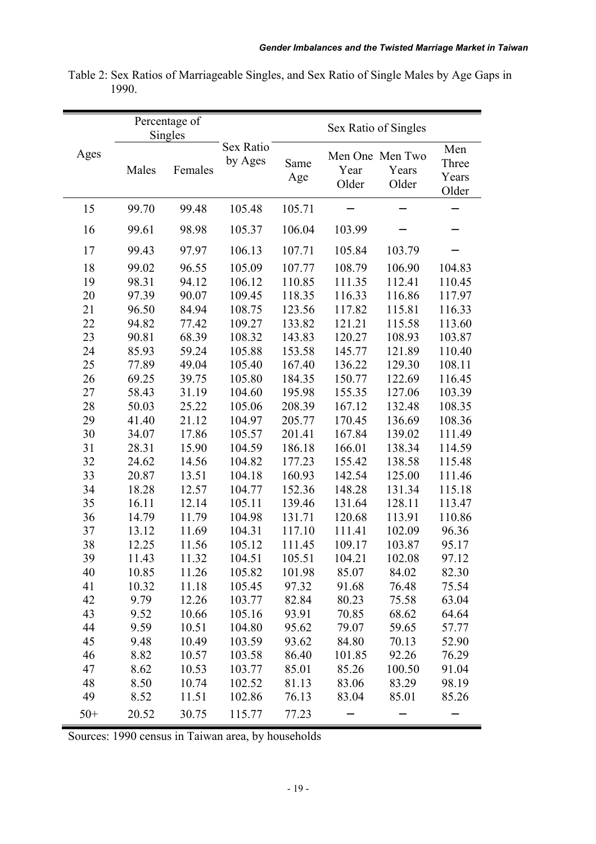|       | Percentage of<br>Singles |         |                      |             | Sex Ratio of Singles |                                   |                                |
|-------|--------------------------|---------|----------------------|-------------|----------------------|-----------------------------------|--------------------------------|
| Ages  | Males                    | Females | Sex Ratio<br>by Ages | Same<br>Age | Year<br>Older        | Men One Men Two<br>Years<br>Older | Men<br>Three<br>Years<br>Older |
| 15    | 99.70                    | 99.48   | 105.48               | 105.71      |                      |                                   |                                |
| 16    | 99.61                    | 98.98   | 105.37               | 106.04      | 103.99               |                                   |                                |
| 17    | 99.43                    | 97.97   | 106.13               | 107.71      | 105.84               | 103.79                            |                                |
| 18    | 99.02                    | 96.55   | 105.09               | 107.77      | 108.79               | 106.90                            | 104.83                         |
| 19    | 98.31                    | 94.12   | 106.12               | 110.85      | 111.35               | 112.41                            | 110.45                         |
| 20    | 97.39                    | 90.07   | 109.45               | 118.35      | 116.33               | 116.86                            | 117.97                         |
| 21    | 96.50                    | 84.94   | 108.75               | 123.56      | 117.82               | 115.81                            | 116.33                         |
| 22    | 94.82                    | 77.42   | 109.27               | 133.82      | 121.21               | 115.58                            | 113.60                         |
| 23    | 90.81                    | 68.39   | 108.32               | 143.83      | 120.27               | 108.93                            | 103.87                         |
| 24    | 85.93                    | 59.24   | 105.88               | 153.58      | 145.77               | 121.89                            | 110.40                         |
| 25    | 77.89                    | 49.04   | 105.40               | 167.40      | 136.22               | 129.30                            | 108.11                         |
| 26    | 69.25                    | 39.75   | 105.80               | 184.35      | 150.77               | 122.69                            | 116.45                         |
| 27    | 58.43                    | 31.19   | 104.60               | 195.98      | 155.35               | 127.06                            | 103.39                         |
| 28    | 50.03                    | 25.22   | 105.06               | 208.39      | 167.12               | 132.48                            | 108.35                         |
| 29    | 41.40                    | 21.12   | 104.97               | 205.77      | 170.45               | 136.69                            | 108.36                         |
| 30    | 34.07                    | 17.86   | 105.57               | 201.41      | 167.84               | 139.02                            | 111.49                         |
| 31    | 28.31                    | 15.90   | 104.59               | 186.18      | 166.01               | 138.34                            | 114.59                         |
| 32    | 24.62                    | 14.56   | 104.82               | 177.23      | 155.42               | 138.58                            | 115.48                         |
| 33    | 20.87                    | 13.51   | 104.18               | 160.93      | 142.54               | 125.00                            | 111.46                         |
| 34    | 18.28                    | 12.57   | 104.77               | 152.36      | 148.28               | 131.34                            | 115.18                         |
| 35    | 16.11                    | 12.14   | 105.11               | 139.46      | 131.64               | 128.11                            | 113.47                         |
| 36    | 14.79                    | 11.79   | 104.98               | 131.71      | 120.68               | 113.91                            | 110.86                         |
| 37    | 13.12                    | 11.69   | 104.31               | 117.10      | 111.41               | 102.09                            | 96.36                          |
| 38    | 12.25                    | 11.56   | 105.12               | 111.45      | 109.17               | 103.87                            | 95.17                          |
| 39    | 11.43                    | 11.32   | 104.51               | 105.51      | 104.21               | 102.08                            | 97.12                          |
| 40    | 10.85                    | 11.26   | 105.82               | 101.98      | 85.07                | 84.02                             | 82.30                          |
| 41    | 10.32                    | 11.18   | 105.45               | 97.32       | 91.68                | 76.48                             | 75.54                          |
| 42    | 9.79                     | 12.26   | 103.77               | 82.84       | 80.23                | 75.58                             | 63.04                          |
| 43    | 9.52                     | 10.66   | 105.16               | 93.91       | 70.85                | 68.62                             | 64.64                          |
| 44    | 9.59                     | 10.51   | 104.80               | 95.62       | 79.07                | 59.65                             | 57.77                          |
| 45    | 9.48                     | 10.49   | 103.59               | 93.62       | 84.80                | 70.13                             | 52.90                          |
| 46    | 8.82                     | 10.57   | 103.58               | 86.40       | 101.85               | 92.26                             | 76.29                          |
| 47    | 8.62                     | 10.53   | 103.77               | 85.01       | 85.26                | 100.50                            | 91.04                          |
| 48    | 8.50                     | 10.74   | 102.52               | 81.13       | 83.06                | 83.29                             | 98.19                          |
| 49    | 8.52                     | 11.51   | 102.86               | 76.13       | 83.04                | 85.01                             | 85.26                          |
| $50+$ | 20.52                    | 30.75   | 115.77               | 77.23       |                      |                                   |                                |

Table 2: Sex Ratios of Marriageable Singles, and Sex Ratio of Single Males by Age Gaps in 1990.

Sources: 1990 census in Taiwan area, by households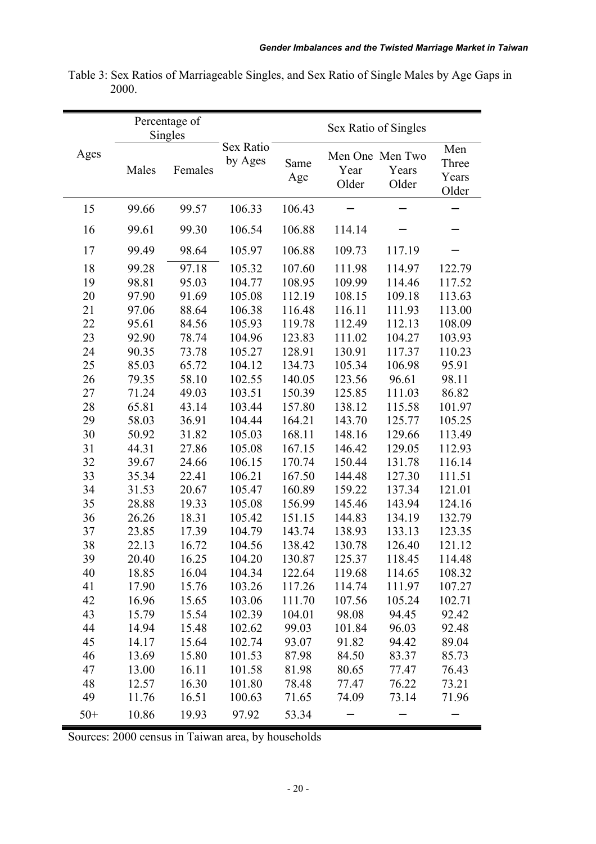|       | Percentage of<br>Singles |         |                      |             | Sex Ratio of Singles |                                   |                                |
|-------|--------------------------|---------|----------------------|-------------|----------------------|-----------------------------------|--------------------------------|
| Ages  | Males                    | Females | Sex Ratio<br>by Ages | Same<br>Age | Year<br>Older        | Men One Men Two<br>Years<br>Older | Men<br>Three<br>Years<br>Older |
| 15    | 99.66                    | 99.57   | 106.33               | 106.43      |                      |                                   |                                |
| 16    | 99.61                    | 99.30   | 106.54               | 106.88      | 114.14               |                                   |                                |
| 17    | 99.49                    | 98.64   | 105.97               | 106.88      | 109.73               | 117.19                            |                                |
| 18    | 99.28                    | 97.18   | 105.32               | 107.60      | 111.98               | 114.97                            | 122.79                         |
| 19    | 98.81                    | 95.03   | 104.77               | 108.95      | 109.99               | 114.46                            | 117.52                         |
| 20    | 97.90                    | 91.69   | 105.08               | 112.19      | 108.15               | 109.18                            | 113.63                         |
| 21    | 97.06                    | 88.64   | 106.38               | 116.48      | 116.11               | 111.93                            | 113.00                         |
| 22    | 95.61                    | 84.56   | 105.93               | 119.78      | 112.49               | 112.13                            | 108.09                         |
| 23    | 92.90                    | 78.74   | 104.96               | 123.83      | 111.02               | 104.27                            | 103.93                         |
| 24    | 90.35                    | 73.78   | 105.27               | 128.91      | 130.91               | 117.37                            | 110.23                         |
| 25    | 85.03                    | 65.72   | 104.12               | 134.73      | 105.34               | 106.98                            | 95.91                          |
| 26    | 79.35                    | 58.10   | 102.55               | 140.05      | 123.56               | 96.61                             | 98.11                          |
| 27    | 71.24                    | 49.03   | 103.51               | 150.39      | 125.85               | 111.03                            | 86.82                          |
| 28    | 65.81                    | 43.14   | 103.44               | 157.80      | 138.12               | 115.58                            | 101.97                         |
| 29    | 58.03                    | 36.91   | 104.44               | 164.21      | 143.70               | 125.77                            | 105.25                         |
| 30    | 50.92                    | 31.82   | 105.03               | 168.11      | 148.16               | 129.66                            | 113.49                         |
| 31    | 44.31                    | 27.86   | 105.08               | 167.15      | 146.42               | 129.05                            | 112.93                         |
| 32    | 39.67                    | 24.66   | 106.15               | 170.74      | 150.44               | 131.78                            | 116.14                         |
| 33    | 35.34                    | 22.41   | 106.21               | 167.50      | 144.48               | 127.30                            | 111.51                         |
| 34    | 31.53                    | 20.67   | 105.47               | 160.89      | 159.22               | 137.34                            | 121.01                         |
| 35    | 28.88                    | 19.33   | 105.08               | 156.99      | 145.46               | 143.94                            | 124.16                         |
| 36    | 26.26                    | 18.31   | 105.42               | 151.15      | 144.83               | 134.19                            | 132.79                         |
| 37    | 23.85                    | 17.39   | 104.79               | 143.74      | 138.93               | 133.13                            | 123.35                         |
| 38    | 22.13                    | 16.72   | 104.56               | 138.42      | 130.78               | 126.40                            | 121.12                         |
| 39    | 20.40                    | 16.25   | 104.20               | 130.87      | 125.37               | 118.45                            | 114.48                         |
| 40    | 18.85                    | 16.04   | 104.34               | 122.64      | 119.68               | 114.65                            | 108.32                         |
| 41    | 17.90                    | 15.76   | 103.26               | 117.26      | 114.74               | 111.97                            | 107.27                         |
| 42    | 16.96                    | 15.65   | 103.06               | 111.70      | 107.56               | 105.24                            | 102.71                         |
| 43    | 15.79                    | 15.54   | 102.39               | 104.01      | 98.08                | 94.45                             | 92.42                          |
| 44    | 14.94                    | 15.48   | 102.62               | 99.03       | 101.84               | 96.03                             | 92.48                          |
| 45    | 14.17                    | 15.64   | 102.74               | 93.07       | 91.82                | 94.42                             | 89.04                          |
| 46    | 13.69                    | 15.80   | 101.53               | 87.98       | 84.50                | 83.37                             | 85.73                          |
| 47    | 13.00                    | 16.11   | 101.58               | 81.98       | 80.65                | 77.47                             | 76.43                          |
| 48    | 12.57                    | 16.30   | 101.80               | 78.48       | 77.47                | 76.22                             | 73.21                          |
| 49    | 11.76                    | 16.51   | 100.63               | 71.65       | 74.09                | 73.14                             | 71.96                          |
| $50+$ | 10.86                    | 19.93   | 97.92                | 53.34       |                      |                                   |                                |

Table 3: Sex Ratios of Marriageable Singles, and Sex Ratio of Single Males by Age Gaps in 2000.

Sources: 2000 census in Taiwan area, by households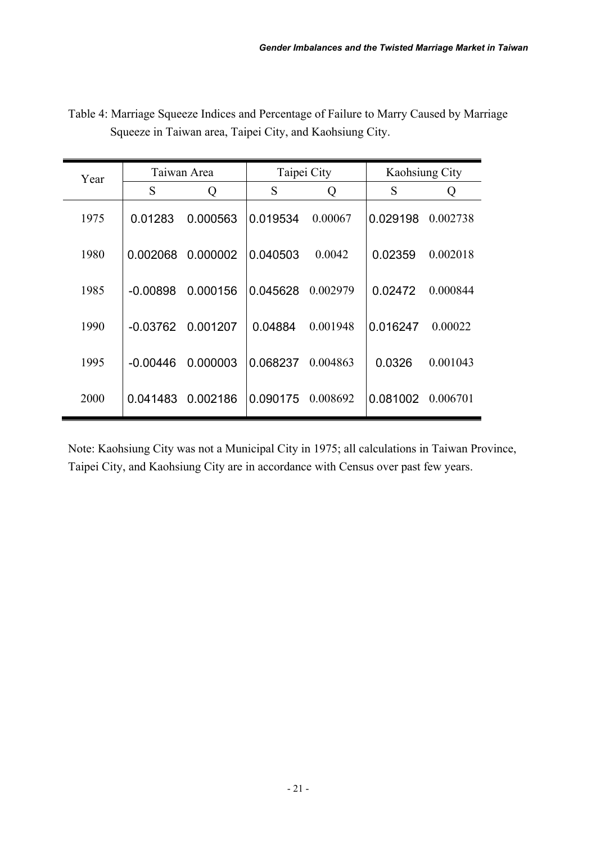| Year | Taiwan Area |          | Taipei City |          | <b>Kaohsiung City</b> |          |
|------|-------------|----------|-------------|----------|-----------------------|----------|
|      | S           | Q        | S           | Q        | S                     | Q        |
| 1975 | 0.01283     | 0.000563 | 0.019534    | 0.00067  | 0.029198              | 0.002738 |
| 1980 | 0.002068    | 0.000002 | 0.040503    | 0.0042   | 0.02359               | 0.002018 |
| 1985 | $-0.00898$  | 0.000156 | 0.045628    | 0.002979 | 0.02472               | 0.000844 |
| 1990 | $-0.03762$  | 0.001207 | 0.04884     | 0.001948 | 0.016247              | 0.00022  |
| 1995 | $-0.00446$  | 0.000003 | 0.068237    | 0.004863 | 0.0326                | 0.001043 |
| 2000 | 0.041483    | 0.002186 | 0.090175    | 0.008692 | 0.081002              | 0.006701 |

Table 4: Marriage Squeeze Indices and Percentage of Failure to Marry Caused by Marriage Squeeze in Taiwan area, Taipei City, and Kaohsiung City.

Note: Kaohsiung City was not a Municipal City in 1975; all calculations in Taiwan Province, Taipei City, and Kaohsiung City are in accordance with Census over past few years.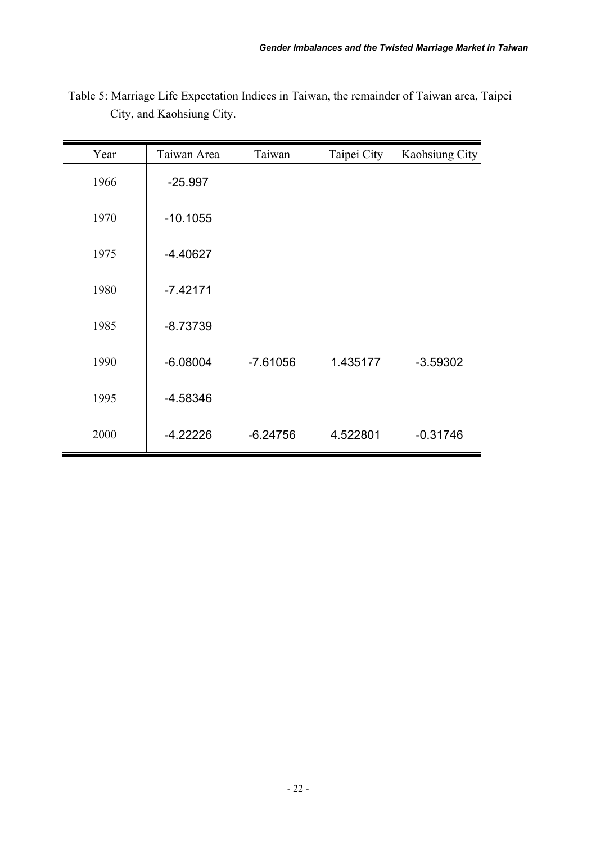| Year | Taiwan Area | Taiwan     | Taipei City | Kaohsiung City |
|------|-------------|------------|-------------|----------------|
| 1966 | $-25.997$   |            |             |                |
| 1970 | $-10.1055$  |            |             |                |
| 1975 | $-4.40627$  |            |             |                |
| 1980 | $-7.42171$  |            |             |                |
| 1985 | $-8.73739$  |            |             |                |
| 1990 | $-6.08004$  | $-7.61056$ | 1.435177    | $-3.59302$     |
| 1995 | $-4.58346$  |            |             |                |
| 2000 | $-4.22226$  | $-6.24756$ | 4.522801    | $-0.31746$     |

Table 5: Marriage Life Expectation Indices in Taiwan, the remainder of Taiwan area, Taipei City, and Kaohsiung City.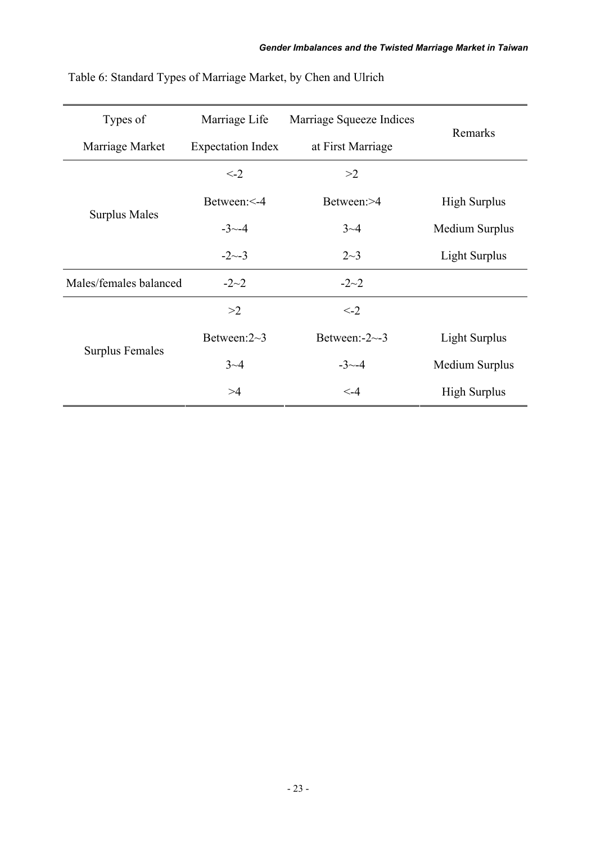| Types of               | Marriage Life            | Marriage Squeeze Indices | Remarks              |  |
|------------------------|--------------------------|--------------------------|----------------------|--|
| Marriage Market        | <b>Expectation Index</b> | at First Marriage        |                      |  |
|                        | $\leq -2$                | >2                       |                      |  |
|                        | Between: <- 4            | Between:>4               | <b>High Surplus</b>  |  |
| <b>Surplus Males</b>   | $-3$ $-4$                | $3 - 4$                  | Medium Surplus       |  |
|                        | $-2 \sim -3$             | $2 - 3$                  | <b>Light Surplus</b> |  |
| Males/females balanced | $-2-2$                   | $-2-2$                   |                      |  |
|                        | >2                       | $\leq -2$                |                      |  |
|                        | Between: $2~3$           | Between: $-2$ $-3$       | Light Surplus        |  |
| <b>Surplus Females</b> | $3 - 4$                  | $-3$ $-4$                | Medium Surplus       |  |
|                        | >4                       | $\leq -4$                | <b>High Surplus</b>  |  |

Table 6: Standard Types of Marriage Market, by Chen and Ulrich